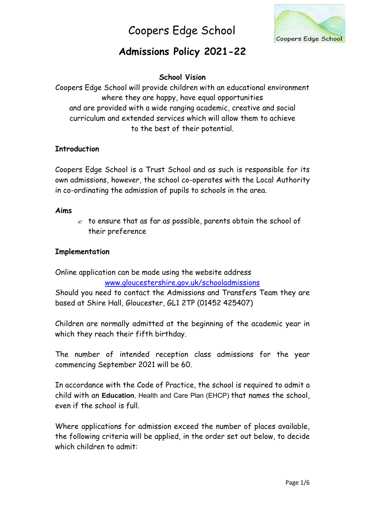

## **Admissions Policy 2021-22**

### **School Vision**

Coopers Edge School will provide children with an educational environment where they are happy, have equal opportunities and are provided with a wide ranging academic, creative and social curriculum and extended services which will allow them to achieve to the best of their potential.

### **Introduction**

Coopers Edge School is a Trust School and as such is responsible for its own admissions, however, the school co-operates with the Local Authority in co-ordinating the admission of pupils to schools in the area.

#### **Aims**

 $\mathscr A$  to ensure that as far as possible, parents obtain the school of their preference

### **Implementation**

Online application can be made using the website address www.gloucestershire.gov.uk/schooladmissions

Should you need to contact the Admissions and Transfers Team they are based at Shire Hall, Gloucester, GL1 2TP (01452 425407)

Children are normally admitted at the beginning of the academic year in which they reach their fifth birthday.

The number of intended reception class admissions for the year commencing September 2021 will be 60.

In accordance with the Code of Practice, the school is required to admit a child with an **Education**, Health and Care Plan (EHCP) that names the school, even if the school is full.

Where applications for admission exceed the number of places available, the following criteria will be applied, in the order set out below, to decide which children to admit: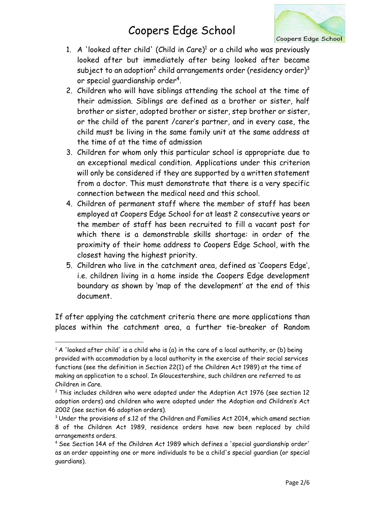

- 1. A 'looked after child' (Child in Care) $^1$  or a child who was previously looked after but immediately after being looked after became subject to an adoption $^{\text{2}}$  child arrangements order (residency order) $^{\text{3}}$ or special guardianship order<sup>4</sup>.
- 2. Children who will have siblings attending the school at the time of their admission. Siblings are defined as a brother or sister, half brother or sister, adopted brother or sister, step brother or sister, or the child of the parent /carer's partner, and in every case, the child must be living in the same family unit at the same address at the time of at the time of admission
- 3. Children for whom only this particular school is appropriate due to an exceptional medical condition. Applications under this criterion will only be considered if they are supported by a written statement from a doctor. This must demonstrate that there is a very specific connection between the medical need and this school.
- 4. Children of permanent staff where the member of staff has been employed at Coopers Edge School for at least 2 consecutive years or the member of staff has been recruited to fill a vacant post for which there is a demonstrable skills shortage: in order of the proximity of their home address to Coopers Edge School, with the closest having the highest priority.
- 5. Children who live in the catchment area, defined as 'Coopers Edge', i.e. children living in a home inside the Coopers Edge development boundary as shown by 'map of the development' at the end of this document.

If after applying the catchment criteria there are more applications than places within the catchment area, a further tie-breaker of Random

 $1$  A 'looked after child' is a child who is (a) in the care of a local authority, or (b) being provided with accommodation by a local authority in the exercise of their social services functions (see the definition in Section 22(1) of the Children Act 1989) at the time of making an application to a school. In Gloucestershire, such children are referred to as Children in Care.

 $2$  This includes children who were adopted under the Adoption Act 1976 (see section 12 adoption orders) and children who were adopted under the Adoption and Children's Act 2002 (see section 46 adoption orders).

<sup>&</sup>lt;sup>3</sup> Under the provisions of s.12 of the Children and Families Act 2014, which amend section 8 of the Children Act 1989, residence orders have now been replaced by child arrangements orders.

<sup>4</sup> See Section 14A of the Children Act 1989 which defines a 'special guardianship order' as an order appointing one or more individuals to be a child's special guardian (or special guardians).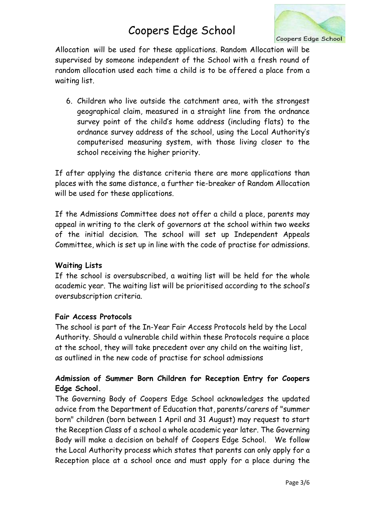

Allocation will be used for these applications. Random Allocation will be supervised by someone independent of the School with a fresh round of random allocation used each time a child is to be offered a place from a waiting list.

6. Children who live outside the catchment area, with the strongest geographical claim, measured in a straight line from the ordnance survey point of the child's home address (including flats) to the ordnance survey address of the school, using the Local Authority's computerised measuring system, with those living closer to the school receiving the higher priority.

If after applying the distance criteria there are more applications than places with the same distance, a further tie-breaker of Random Allocation will be used for these applications.

If the Admissions Committee does not offer a child a place, parents may appeal in writing to the clerk of governors at the school within two weeks of the initial decision. The school will set up Independent Appeals Committee, which is set up in line with the code of practise for admissions.

### **Waiting Lists**

If the school is oversubscribed, a waiting list will be held for the whole academic year. The waiting list will be prioritised according to the school's oversubscription criteria.

#### **Fair Access Protocols**

The school is part of the In-Year Fair Access Protocols held by the Local Authority. Should a vulnerable child within these Protocols require a place at the school, they will take precedent over any child on the waiting list, as outlined in the new code of practise for school admissions

## **Admission of Summer Born Children for Reception Entry for Coopers Edge School.**

The Governing Body of Coopers Edge School acknowledges the updated advice from the Department of Education that, parents/carers of "summer born" children (born between 1 April and 31 August) may request to start the Reception Class of a school a whole academic year later. The Governing Body will make a decision on behalf of Coopers Edge School. We follow the Local Authority process which states that parents can only apply for a Reception place at a school once and must apply for a place during the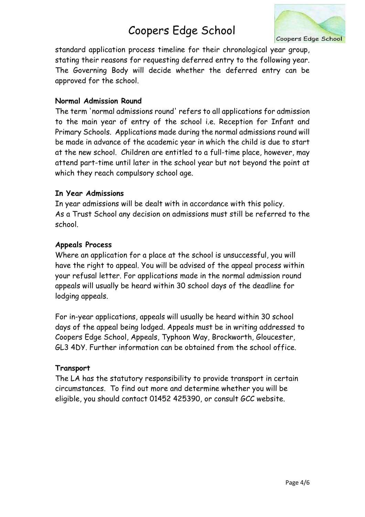

standard application process timeline for their chronological year group, stating their reasons for requesting deferred entry to the following year. The Governing Body will decide whether the deferred entry can be approved for the school.

#### **Normal Admission Round**

The term 'normal admissions round' refers to all applications for admission to the main year of entry of the school i.e. Reception for Infant and Primary Schools. Applications made during the normal admissions round will be made in advance of the academic year in which the child is due to start at the new school. Children are entitled to a full-time place, however, may attend part-time until later in the school year but not beyond the point at which they reach compulsory school age.

#### **In Year Admissions**

In year admissions will be dealt with in accordance with this policy. As a Trust School any decision on admissions must still be referred to the school.

#### **Appeals Process**

Where an application for a place at the school is unsuccessful, you will have the right to appeal. You will be advised of the appeal process within your refusal letter. For applications made in the normal admission round appeals will usually be heard within 30 school days of the deadline for lodging appeals.

For in-year applications, appeals will usually be heard within 30 school days of the appeal being lodged. Appeals must be in writing addressed to Coopers Edge School, Appeals, Typhoon Way, Brockworth, Gloucester, GL3 4DY. Further information can be obtained from the school office.

### **Transport**

The LA has the statutory responsibility to provide transport in certain circumstances. To find out more and determine whether you will be eligible, you should contact 01452 425390, or consult GCC website.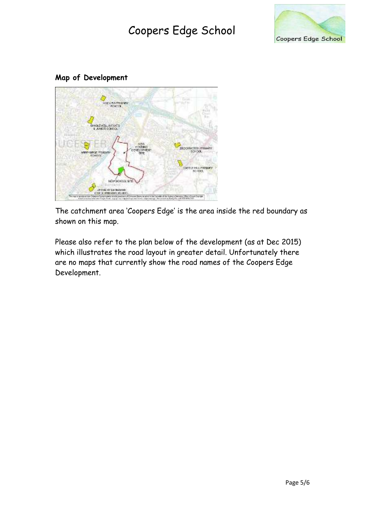

### **Map of Development**



The catchment area 'Coopers Edge' is the area inside the red boundary as shown on this map.

Please also refer to the plan below of the development (as at Dec 2015) which illustrates the road layout in greater detail. Unfortunately there are no maps that currently show the road names of the Coopers Edge Development.